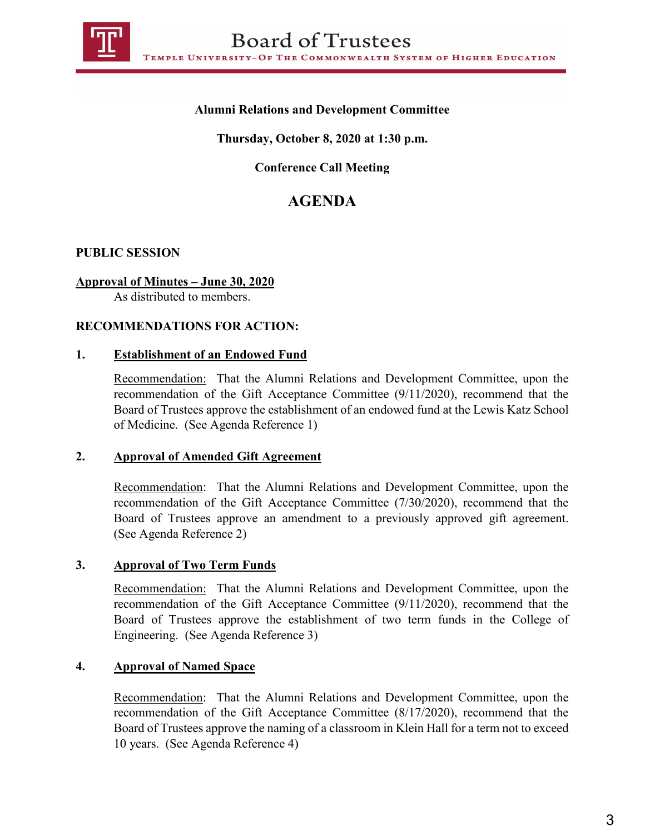

# **Alumni Relations and Development Committee**

## **Thursday, October 8, 2020 at 1:30 p.m.**

**Conference Call Meeting** 

# **AGENDA**

## **PUBLIC SESSION**

#### **Approval of Minutes – June 30, 2020**

As distributed to members.

#### **RECOMMENDATIONS FOR ACTION:**

#### **1. Establishment of an Endowed Fund**

Recommendation: That the Alumni Relations and Development Committee, upon the recommendation of the Gift Acceptance Committee (9/11/2020), recommend that the Board of Trustees approve the establishment of an endowed fund at the Lewis Katz School of Medicine. (See Agenda Reference 1)

#### **2. Approval of Amended Gift Agreement**

Recommendation: That the Alumni Relations and Development Committee, upon the recommendation of the Gift Acceptance Committee (7/30/2020), recommend that the Board of Trustees approve an amendment to a previously approved gift agreement. (See Agenda Reference 2)

#### **3. Approval of Two Term Funds**

Recommendation: That the Alumni Relations and Development Committee, upon the recommendation of the Gift Acceptance Committee (9/11/2020), recommend that the Board of Trustees approve the establishment of two term funds in the College of Engineering. (See Agenda Reference 3)

#### **4. Approval of Named Space**

Recommendation: That the Alumni Relations and Development Committee, upon the recommendation of the Gift Acceptance Committee (8/17/2020), recommend that the Board of Trustees approve the naming of a classroom in Klein Hall for a term not to exceed 10 years. (See Agenda Reference 4)